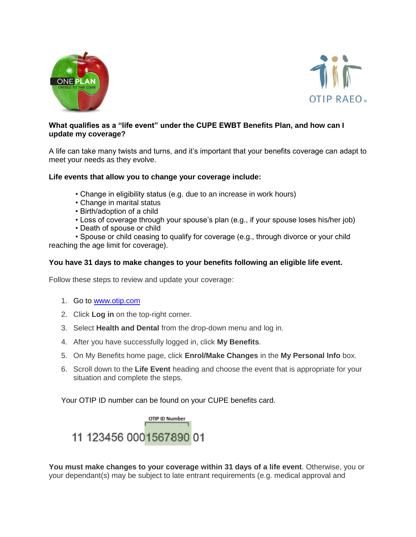



## **What qualifies as a "life event" under the CUPE EWBT Benefits Plan, and how can I update my coverage?**

A life can take many twists and turns, and it's important that your benefits coverage can adapt to meet your needs as they evolve.

## **Life events that allow you to change your coverage include:**

- Change in eligibility status (e.g. due to an increase in work hours)
- Change in marital status
- Birth/adoption of a child
- Loss of coverage through your spouse's plan (e.g., if your spouse loses his/her job)
- Death of spouse or child

• Spouse or child ceasing to qualify for coverage (e.g., through divorce or your child reaching the age limit for coverage).

## **You have 31 days to make changes to your benefits following an eligible life event.**

Follow these steps to review and update your coverage:

- 1. Go to [www.otip.com](http://www.otip.com/)
- 2. Click **Log in** on the top-right corner.
- 3. Select **Health and Dental** from the drop-down menu and log in.
- 4. After you have successfully logged in, click **My Benefits**.
- 5. On My Benefits home page, click **Enrol/Make Changes** in the **My Personal Info** box.
- 6. Scroll down to the **Life Event** heading and choose the event that is appropriate for your situation and complete the steps.

Your OTIP ID number can be found on your CUPE benefits card.



**You must make changes to your coverage within 31 days of a life event**. Otherwise, you or your dependant(s) may be subject to late entrant requirements (e.g. medical approval and